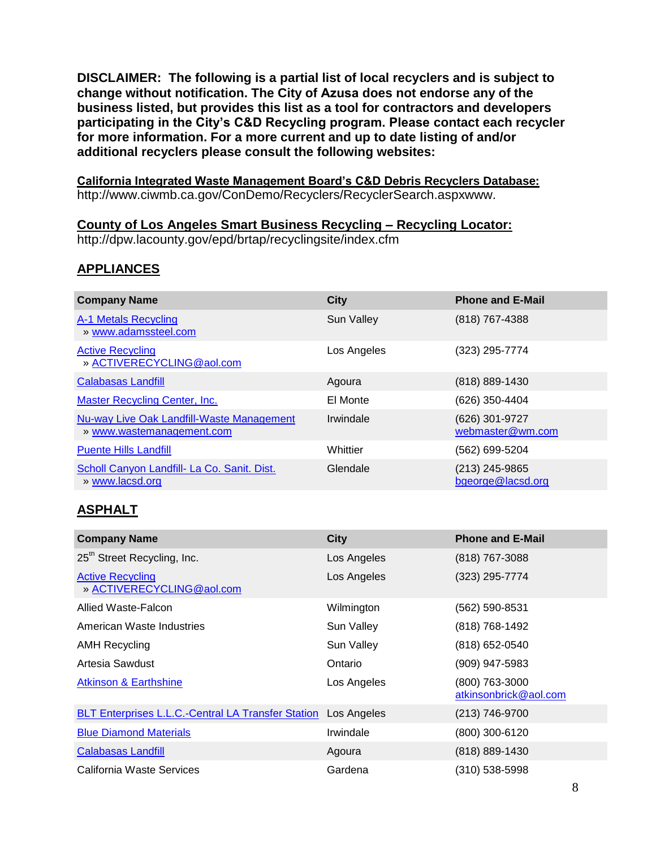**DISCLAIMER: The following is a partial list of local recyclers and is subject to change without notification. The City of Azusa does not endorse any of the business listed, but provides this list as a tool for contractors and developers participating in the City's C&D Recycling program. Please contact each recycler for more information. For a more current and up to date listing of and/or additional recyclers please consult the following websites:** 

**California Integrated Waste Management Board's C&D Debris Recyclers Database:**  http://www.ciwmb.ca.gov/ConDemo/Recyclers/RecyclerSearch.aspxwww.

#### **County of Los Angeles Smart Business Recycling – Recycling Locator:**

http://dpw.lacounty.gov/epd/brtap/recyclingsite/index.cfm

#### **APPLIANCES**

| <b>Company Name</b>                                                           | <b>City</b>       | <b>Phone and E-Mail</b>             |
|-------------------------------------------------------------------------------|-------------------|-------------------------------------|
| A-1 Metals Recycling<br>» www.adamssteel.com                                  | <b>Sun Valley</b> | (818) 767-4388                      |
| <b>Active Recycling</b><br>» ACTIVERECYCLING@aol.com                          | Los Angeles       | (323) 295-7774                      |
| <b>Calabasas Landfill</b>                                                     | Agoura            | (818) 889-1430                      |
| <b>Master Recycling Center, Inc.</b>                                          | El Monte          | (626) 350-4404                      |
| <b>Nu-way Live Oak Landfill-Waste Management</b><br>» www.wastemanagement.com | Irwindale         | (626) 301-9727<br>webmaster@wm.com  |
| <b>Puente Hills Landfill</b>                                                  | Whittier          | (562) 699-5204                      |
| Scholl Canyon Landfill- La Co. Sanit. Dist.<br>» www.lacsd.org                | Glendale          | (213) 245-9865<br>bgeorge@lacsd.org |

#### **ASPHALT**

| <b>Company Name</b>                                       | <b>City</b> | <b>Phone and E-Mail</b>                 |
|-----------------------------------------------------------|-------------|-----------------------------------------|
| 25 <sup>th</sup> Street Recycling, Inc.                   | Los Angeles | (818) 767-3088                          |
| <b>Active Recycling</b><br>» ACTIVERECYCLING@aol.com      | Los Angeles | (323) 295-7774                          |
| Allied Waste-Falcon                                       | Wilmington  | (562) 590-8531                          |
| American Waste Industries                                 | Sun Valley  | (818) 768-1492                          |
| AMH Recycling                                             | Sun Valley  | (818) 652-0540                          |
| Artesia Sawdust                                           | Ontario     | (909) 947-5983                          |
| <b>Atkinson &amp; Earthshine</b>                          | Los Angeles | (800) 763-3000<br>atkinsonbrick@aol.com |
| <b>BLT Enterprises L.L.C.-Central LA Transfer Station</b> | Los Angeles | (213) 746-9700                          |
| <b>Blue Diamond Materials</b>                             | Irwindale   | (800) 300-6120                          |
| <b>Calabasas Landfill</b>                                 | Agoura      | (818) 889-1430                          |
| California Waste Services                                 | Gardena     | (310) 538-5998                          |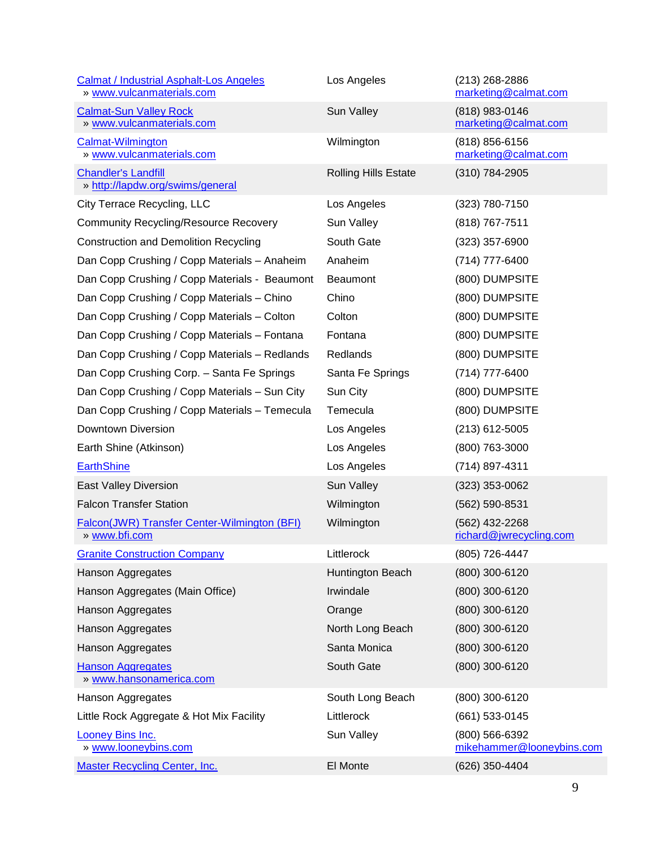| <b>Calmat / Industrial Asphalt-Los Angeles</b><br>» www.vulcanmaterials.com | Los Angeles                 | $(213)$ 268-2886<br>marketing@calmat.com    |
|-----------------------------------------------------------------------------|-----------------------------|---------------------------------------------|
| <b>Calmat-Sun Valley Rock</b><br>» www.vulcanmaterials.com                  | Sun Valley                  | (818) 983-0146<br>marketing@calmat.com      |
| Calmat-Wilmington<br>» www.vulcanmaterials.com                              | Wilmington                  | (818) 856-6156<br>marketing@calmat.com      |
| <b>Chandler's Landfill</b><br>» http://lapdw.org/swims/general              | <b>Rolling Hills Estate</b> | (310) 784-2905                              |
| City Terrace Recycling, LLC                                                 | Los Angeles                 | (323) 780-7150                              |
| <b>Community Recycling/Resource Recovery</b>                                | Sun Valley                  | (818) 767-7511                              |
| <b>Construction and Demolition Recycling</b>                                | South Gate                  | $(323)$ 357-6900                            |
| Dan Copp Crushing / Copp Materials - Anaheim                                | Anaheim                     | (714) 777-6400                              |
| Dan Copp Crushing / Copp Materials - Beaumont                               | <b>Beaumont</b>             | (800) DUMPSITE                              |
| Dan Copp Crushing / Copp Materials - Chino                                  | Chino                       | (800) DUMPSITE                              |
| Dan Copp Crushing / Copp Materials - Colton                                 | Colton                      | (800) DUMPSITE                              |
| Dan Copp Crushing / Copp Materials - Fontana                                | Fontana                     | (800) DUMPSITE                              |
| Dan Copp Crushing / Copp Materials - Redlands                               | Redlands                    | (800) DUMPSITE                              |
| Dan Copp Crushing Corp. - Santa Fe Springs                                  | Santa Fe Springs            | (714) 777-6400                              |
| Dan Copp Crushing / Copp Materials - Sun City                               | Sun City                    | (800) DUMPSITE                              |
| Dan Copp Crushing / Copp Materials - Temecula                               | Temecula                    | (800) DUMPSITE                              |
| Downtown Diversion                                                          | Los Angeles                 | $(213)$ 612-5005                            |
| Earth Shine (Atkinson)                                                      | Los Angeles                 | (800) 763-3000                              |
| <b>EarthShine</b>                                                           | Los Angeles                 | (714) 897-4311                              |
| East Valley Diversion                                                       | Sun Valley                  | $(323)$ 353-0062                            |
| <b>Falcon Transfer Station</b>                                              | Wilmington                  | (562) 590-8531                              |
| Falcon(JWR) Transfer Center-Wilmington (BFI)<br>» www.bfi.com               | Wilmington                  | (562) 432-2268<br>richard@jwrecycling.com   |
| <b>Granite Construction Company</b>                                         | Littlerock                  | (805) 726-4447                              |
| Hanson Aggregates                                                           | Huntington Beach            | (800) 300-6120                              |
| Hanson Aggregates (Main Office)                                             | Irwindale                   | (800) 300-6120                              |
| Hanson Aggregates                                                           | Orange                      | (800) 300-6120                              |
| Hanson Aggregates                                                           | North Long Beach            | (800) 300-6120                              |
| Hanson Aggregates                                                           | Santa Monica                | (800) 300-6120                              |
| <b>Hanson Aggregates</b><br>» www.hansonamerica.com                         | South Gate                  | (800) 300-6120                              |
| Hanson Aggregates                                                           | South Long Beach            | (800) 300-6120                              |
| Little Rock Aggregate & Hot Mix Facility                                    | Littlerock                  | (661) 533-0145                              |
| <b>Looney Bins Inc.</b><br>» www.looneybins.com                             | Sun Valley                  | (800) 566-6392<br>mikehammer@looneybins.com |
| <b>Master Recycling Center, Inc.</b>                                        | El Monte                    | (626) 350-4404                              |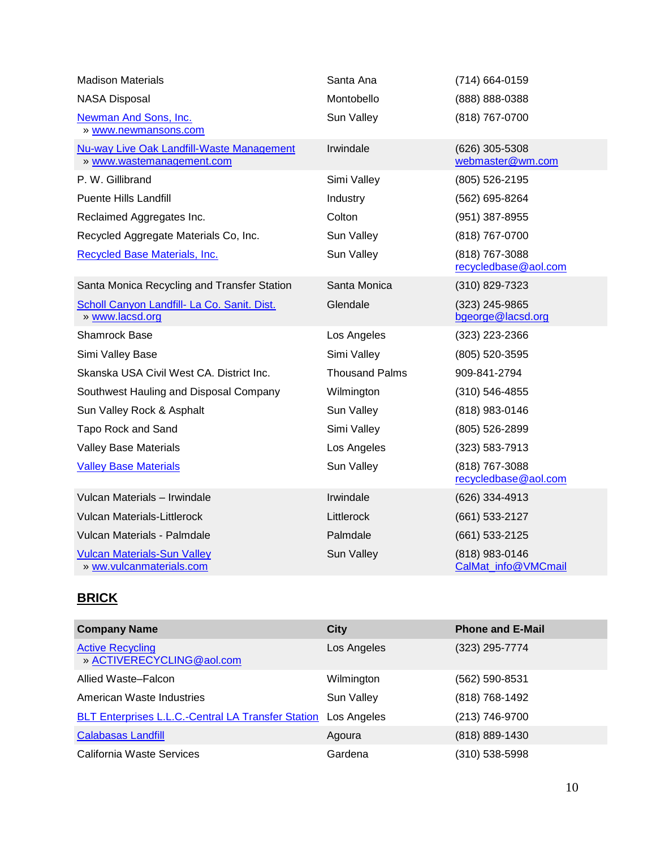| <b>Madison Materials</b>                                               | Santa Ana             | (714) 664-0159                         |
|------------------------------------------------------------------------|-----------------------|----------------------------------------|
| <b>NASA Disposal</b>                                                   | Montobello            | (888) 888-0388                         |
| Newman And Sons, Inc.<br>» www.newmansons.com                          | Sun Valley            | (818) 767-0700                         |
| Nu-way Live Oak Landfill-Waste Management<br>» www.wastemanagement.com | Irwindale             | (626) 305-5308<br>webmaster@wm.com     |
| P. W. Gillibrand                                                       | Simi Valley           | (805) 526-2195                         |
| <b>Puente Hills Landfill</b>                                           | Industry              | (562) 695-8264                         |
| Reclaimed Aggregates Inc.                                              | Colton                | (951) 387-8955                         |
| Recycled Aggregate Materials Co, Inc.                                  | Sun Valley            | (818) 767-0700                         |
| Recycled Base Materials, Inc.                                          | Sun Valley            | (818) 767-3088<br>recycledbase@aol.com |
| Santa Monica Recycling and Transfer Station                            | Santa Monica          | (310) 829-7323                         |
| Scholl Canyon Landfill- La Co. Sanit. Dist.<br>» www.lacsd.org         | Glendale              | (323) 245-9865<br>bgeorge@lacsd.org    |
| <b>Shamrock Base</b>                                                   | Los Angeles           | (323) 223-2366                         |
| Simi Valley Base                                                       | Simi Valley           | (805) 520-3595                         |
| Skanska USA Civil West CA. District Inc.                               | <b>Thousand Palms</b> | 909-841-2794                           |
| Southwest Hauling and Disposal Company                                 | Wilmington            | $(310) 546 - 4855$                     |
| Sun Valley Rock & Asphalt                                              | Sun Valley            | (818) 983-0146                         |
| Tapo Rock and Sand                                                     | Simi Valley           | (805) 526-2899                         |
| <b>Valley Base Materials</b>                                           | Los Angeles           | $(323) 583 - 7913$                     |
| <b>Valley Base Materials</b>                                           | Sun Valley            | (818) 767-3088<br>recycledbase@aol.com |
| Vulcan Materials - Irwindale                                           | Irwindale             | (626) 334-4913                         |
| <b>Vulcan Materials-Littlerock</b>                                     | Littlerock            | (661) 533-2127                         |
| Vulcan Materials - Palmdale                                            | Palmdale              | (661) 533-2125                         |
| <b>Vulcan Materials-Sun Valley</b><br>» ww.vulcanmaterials.com         | Sun Valley            | (818) 983-0146<br>CalMat_info@VMCmail  |

## **BRICK**

| <b>Company Name</b>                                       | <b>City</b> | <b>Phone and E-Mail</b> |
|-----------------------------------------------------------|-------------|-------------------------|
| <b>Active Recycling</b><br>» ACTIVERECYCLING@aol.com      | Los Angeles | (323) 295-7774          |
| Allied Waste-Falcon                                       | Wilmington  | (562) 590-8531          |
| American Waste Industries                                 | Sun Valley  | (818) 768-1492          |
| <b>BLT Enterprises L.L.C.-Central LA Transfer Station</b> | Los Angeles | (213) 746-9700          |
| <b>Calabasas Landfill</b>                                 | Agoura      | (818) 889-1430          |
| California Waste Services                                 | Gardena     | (310) 538-5998          |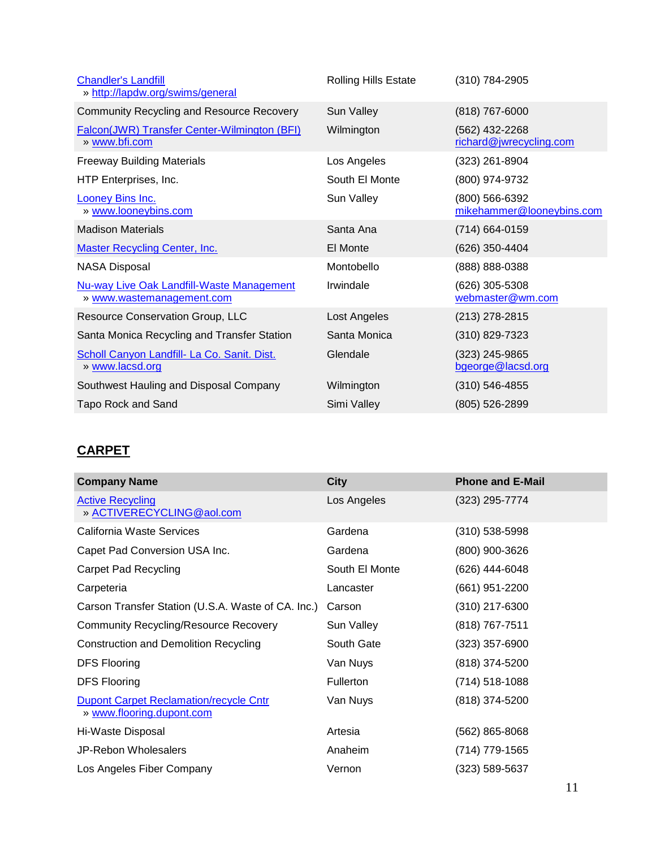| <b>Chandler's Landfill</b><br>» http://lapdw.org/swims/general                | <b>Rolling Hills Estate</b> | (310) 784-2905                              |
|-------------------------------------------------------------------------------|-----------------------------|---------------------------------------------|
| <b>Community Recycling and Resource Recovery</b>                              | Sun Valley                  | (818) 767-6000                              |
| <b>Falcon(JWR) Transfer Center-Wilmington (BFI)</b><br>» www.bfi.com          | Wilmington                  | (562) 432-2268<br>richard@jwrecycling.com   |
| <b>Freeway Building Materials</b>                                             | Los Angeles                 | (323) 261-8904                              |
| HTP Enterprises, Inc.                                                         | South El Monte              | (800) 974-9732                              |
| <b>Looney Bins Inc.</b><br>» www.looneybins.com                               | Sun Valley                  | (800) 566-6392<br>mikehammer@looneybins.com |
| <b>Madison Materials</b>                                                      | Santa Ana                   | (714) 664-0159                              |
| <b>Master Recycling Center, Inc.</b>                                          | El Monte                    | (626) 350-4404                              |
| <b>NASA Disposal</b>                                                          | Montobello                  | (888) 888-0388                              |
| <b>Nu-way Live Oak Landfill-Waste Management</b><br>» www.wastemanagement.com | Irwindale                   | (626) 305-5308<br>webmaster@wm.com          |
| Resource Conservation Group, LLC                                              | Lost Angeles                | (213) 278-2815                              |
| Santa Monica Recycling and Transfer Station                                   | Santa Monica                | (310) 829-7323                              |
| Scholl Canyon Landfill- La Co. Sanit. Dist.<br>» www.lacsd.org                | Glendale                    | (323) 245-9865<br>bgeorge@lacsd.org         |
| Southwest Hauling and Disposal Company                                        | Wilmington                  | (310) 546-4855                              |
| <b>Tapo Rock and Sand</b>                                                     | Simi Valley                 | (805) 526-2899                              |

# **CARPET**

| <b>Company Name</b>                                                        | <b>City</b>      | <b>Phone and E-Mail</b> |
|----------------------------------------------------------------------------|------------------|-------------------------|
| <b>Active Recycling</b><br>» ACTIVERECYCLING@aol.com                       | Los Angeles      | (323) 295-7774          |
| California Waste Services                                                  | Gardena          | (310) 538-5998          |
| Capet Pad Conversion USA Inc.                                              | Gardena          | (800) 900-3626          |
| <b>Carpet Pad Recycling</b>                                                | South El Monte   | (626) 444-6048          |
| Carpeteria                                                                 | Lancaster        | (661) 951-2200          |
| Carson Transfer Station (U.S.A. Waste of CA. Inc.)                         | Carson           | (310) 217-6300          |
| <b>Community Recycling/Resource Recovery</b>                               | Sun Valley       | (818) 767-7511          |
| <b>Construction and Demolition Recycling</b>                               | South Gate       | (323) 357-6900          |
| <b>DFS Flooring</b>                                                        | Van Nuys         | (818) 374-5200          |
| <b>DFS Flooring</b>                                                        | <b>Fullerton</b> | $(714) 518 - 1088$      |
| <b>Dupont Carpet Reclamation/recycle Cntr</b><br>» www.flooring.dupont.com | Van Nuys         | (818) 374-5200          |
| Hi-Waste Disposal                                                          | Artesia          | (562) 865-8068          |
| <b>JP-Rebon Wholesalers</b>                                                | Anaheim          | (714) 779-1565          |
| Los Angeles Fiber Company                                                  | Vernon           | (323) 589-5637          |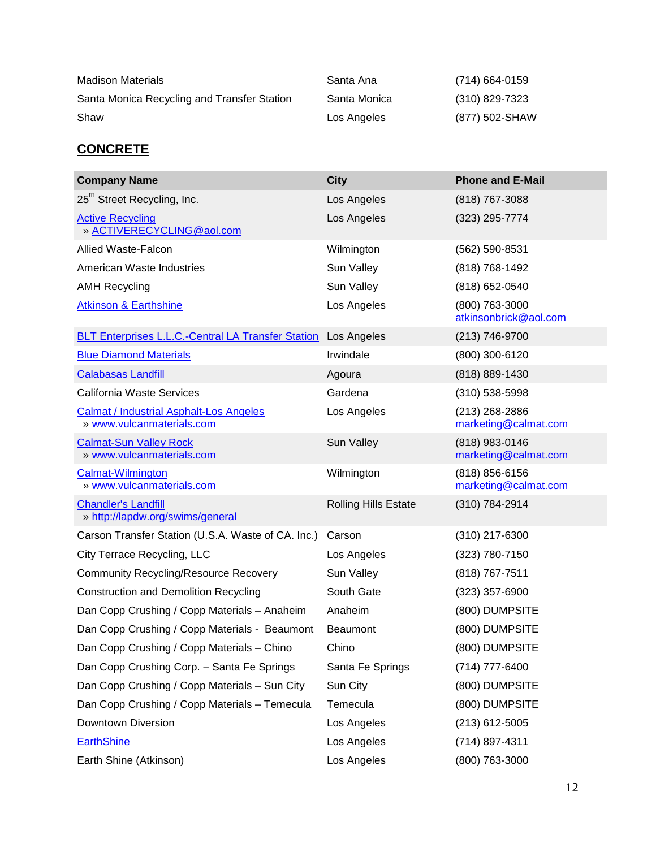| <b>Madison Materials</b>                    | Santa Ana    | (714) 664-0159 |
|---------------------------------------------|--------------|----------------|
| Santa Monica Recycling and Transfer Station | Santa Monica | (310) 829-7323 |
| Shaw                                        | Los Angeles  | (877) 502-SHAW |

### **CONCRETE**

| <b>Company Name</b>                                                         | <b>City</b>                 | <b>Phone and E-Mail</b>                 |
|-----------------------------------------------------------------------------|-----------------------------|-----------------------------------------|
| 25 <sup>th</sup> Street Recycling, Inc.                                     | Los Angeles                 | (818) 767-3088                          |
| <b>Active Recycling</b><br>» ACTIVERECYCLING@aol.com                        | Los Angeles                 | (323) 295-7774                          |
| <b>Allied Waste-Falcon</b>                                                  | Wilmington                  | (562) 590-8531                          |
| American Waste Industries                                                   | Sun Valley                  | (818) 768-1492                          |
| <b>AMH Recycling</b>                                                        | Sun Valley                  | (818) 652-0540                          |
| <b>Atkinson &amp; Earthshine</b>                                            | Los Angeles                 | (800) 763-3000<br>atkinsonbrick@aol.com |
| <b>BLT Enterprises L.L.C.-Central LA Transfer Station</b>                   | Los Angeles                 | (213) 746-9700                          |
| <b>Blue Diamond Materials</b>                                               | Irwindale                   | (800) 300-6120                          |
| <b>Calabasas Landfill</b>                                                   | Agoura                      | (818) 889-1430                          |
| California Waste Services                                                   | Gardena                     | $(310)$ 538-5998                        |
| <b>Calmat / Industrial Asphalt-Los Angeles</b><br>» www.vulcanmaterials.com | Los Angeles                 | (213) 268-2886<br>marketing@calmat.com  |
| <b>Calmat-Sun Valley Rock</b><br>» www.vulcanmaterials.com                  | Sun Valley                  | (818) 983-0146<br>marketing@calmat.com  |
| <b>Calmat-Wilmington</b><br>» www.vulcanmaterials.com                       | Wilmington                  | (818) 856-6156<br>marketing@calmat.com  |
| <b>Chandler's Landfill</b><br>» http://lapdw.org/swims/general              | <b>Rolling Hills Estate</b> | (310) 784-2914                          |
| Carson Transfer Station (U.S.A. Waste of CA. Inc.)                          | Carson                      | (310) 217-6300                          |
| City Terrace Recycling, LLC                                                 | Los Angeles                 | (323) 780-7150                          |
| <b>Community Recycling/Resource Recovery</b>                                | Sun Valley                  | (818) 767-7511                          |
| <b>Construction and Demolition Recycling</b>                                | South Gate                  | (323) 357-6900                          |
| Dan Copp Crushing / Copp Materials - Anaheim                                | Anaheim                     | (800) DUMPSITE                          |
| Dan Copp Crushing / Copp Materials - Beaumont                               | <b>Beaumont</b>             | (800) DUMPSITE                          |
| Dan Copp Crushing / Copp Materials - Chino                                  | Chino                       | (800) DUMPSITE                          |
| Dan Copp Crushing Corp. - Santa Fe Springs                                  | Santa Fe Springs            | (714) 777-6400                          |
| Dan Copp Crushing / Copp Materials - Sun City                               | Sun City                    | (800) DUMPSITE                          |
| Dan Copp Crushing / Copp Materials - Temecula                               | Temecula                    | (800) DUMPSITE                          |
| Downtown Diversion                                                          | Los Angeles                 | (213) 612-5005                          |
| <b>EarthShine</b>                                                           | Los Angeles                 | (714) 897-4311                          |
| Earth Shine (Atkinson)                                                      | Los Angeles                 | (800) 763-3000                          |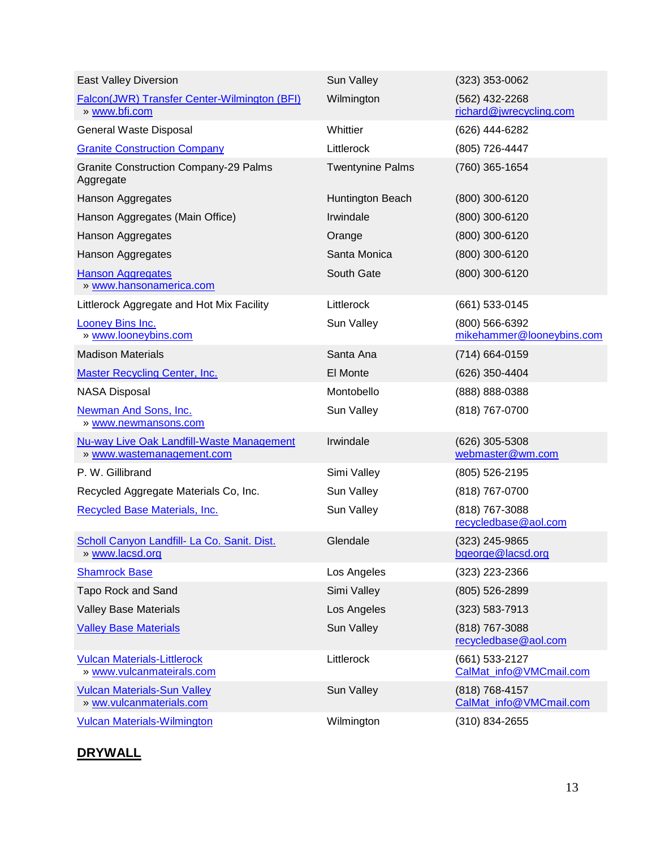| <b>East Valley Diversion</b>                                                  | Sun Valley              | $(323)$ 353-0062                            |
|-------------------------------------------------------------------------------|-------------------------|---------------------------------------------|
| Falcon(JWR) Transfer Center-Wilmington (BFI)<br>» www.bfi.com                 | Wilmington              | (562) 432-2268<br>richard@jwrecycling.com   |
| General Waste Disposal                                                        | Whittier                | (626) 444-6282                              |
| <b>Granite Construction Company</b>                                           | Littlerock              | (805) 726-4447                              |
| <b>Granite Construction Company-29 Palms</b><br>Aggregate                     | <b>Twentynine Palms</b> | (760) 365-1654                              |
| Hanson Aggregates                                                             | Huntington Beach        | (800) 300-6120                              |
| Hanson Aggregates (Main Office)                                               | Irwindale               | (800) 300-6120                              |
| Hanson Aggregates                                                             | Orange                  | (800) 300-6120                              |
| Hanson Aggregates                                                             | Santa Monica            | (800) 300-6120                              |
| <b>Hanson Aggregates</b><br>» www.hansonamerica.com                           | South Gate              | (800) 300-6120                              |
| Littlerock Aggregate and Hot Mix Facility                                     | Littlerock              | (661) 533-0145                              |
| Looney Bins Inc.<br>» www.looneybins.com                                      | Sun Valley              | (800) 566-6392<br>mikehammer@looneybins.com |
| <b>Madison Materials</b>                                                      | Santa Ana               | (714) 664-0159                              |
| <b>Master Recycling Center, Inc.</b>                                          | El Monte                | (626) 350-4404                              |
| <b>NASA Disposal</b>                                                          | Montobello              | (888) 888-0388                              |
| <b>Newman And Sons, Inc.</b><br>» www.newmansons.com                          | Sun Valley              | (818) 767-0700                              |
| <b>Nu-way Live Oak Landfill-Waste Management</b><br>» www.wastemanagement.com | Irwindale               | (626) 305-5308<br>webmaster@wm.com          |
| P. W. Gillibrand                                                              | Simi Valley             | $(805)$ 526-2195                            |
| Recycled Aggregate Materials Co, Inc.                                         | Sun Valley              | (818) 767-0700                              |
| Recycled Base Materials, Inc.                                                 | Sun Valley              | (818) 767-3088<br>recycledbase@aol.com      |
| Scholl Canyon Landfill- La Co. Sanit. Dist.<br><u>» www.lacsd.org</u>         | Glendale                | (323) 245-9865<br>bgeorge@lacsd.org         |
| <b>Shamrock Base</b>                                                          | Los Angeles             | (323) 223-2366                              |
| Tapo Rock and Sand                                                            | Simi Valley             | (805) 526-2899                              |
| <b>Valley Base Materials</b>                                                  | Los Angeles             | $(323) 583 - 7913$                          |
| <b>Valley Base Materials</b>                                                  | Sun Valley              | (818) 767-3088<br>recycledbase@aol.com      |
| <b>Vulcan Materials-Littlerock</b><br>» www.vulcanmateirals.com               | Littlerock              | (661) 533-2127<br>CalMat_info@VMCmail.com   |
| <b>Vulcan Materials-Sun Valley</b><br>» ww.vulcanmaterials.com                | Sun Valley              | (818) 768-4157<br>CalMat info@VMCmail.com   |
| <b>Vulcan Materials-Wilmington</b>                                            | Wilmington              | $(310)$ 834-2655                            |

### **DRYWALL**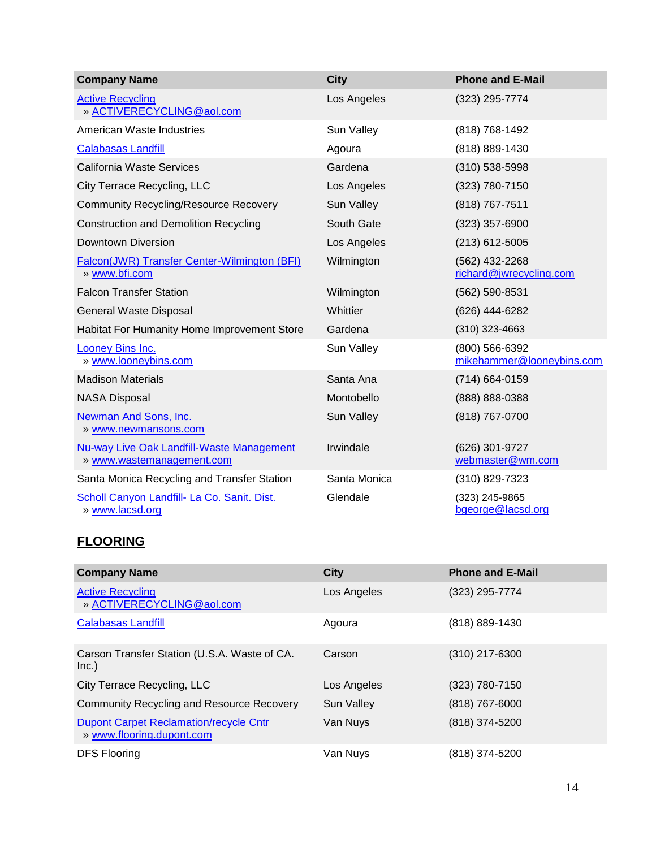| <b>Company Name</b>                                                           | <b>City</b>  | <b>Phone and E-Mail</b>                     |
|-------------------------------------------------------------------------------|--------------|---------------------------------------------|
| <b>Active Recycling</b><br>» ACTIVERECYCLING@aol.com                          | Los Angeles  | (323) 295-7774                              |
| American Waste Industries                                                     | Sun Valley   | (818) 768-1492                              |
| <b>Calabasas Landfill</b>                                                     | Agoura       | (818) 889-1430                              |
| <b>California Waste Services</b>                                              | Gardena      | (310) 538-5998                              |
| City Terrace Recycling, LLC                                                   | Los Angeles  | (323) 780-7150                              |
| <b>Community Recycling/Resource Recovery</b>                                  | Sun Valley   | (818) 767-7511                              |
| <b>Construction and Demolition Recycling</b>                                  | South Gate   | $(323)$ 357-6900                            |
| <b>Downtown Diversion</b>                                                     | Los Angeles  | $(213)$ 612-5005                            |
| Falcon(JWR) Transfer Center-Wilmington (BFI)<br>» www.bfi.com                 | Wilmington   | (562) 432-2268<br>richard@jwrecycling.com   |
| <b>Falcon Transfer Station</b>                                                | Wilmington   | (562) 590-8531                              |
| General Waste Disposal                                                        | Whittier     | (626) 444-6282                              |
| Habitat For Humanity Home Improvement Store                                   | Gardena      | $(310)$ 323-4663                            |
| Looney Bins Inc.<br>» www.looneybins.com                                      | Sun Valley   | (800) 566-6392<br>mikehammer@looneybins.com |
| <b>Madison Materials</b>                                                      | Santa Ana    | (714) 664-0159                              |
| <b>NASA Disposal</b>                                                          | Montobello   | (888) 888-0388                              |
| Newman And Sons, Inc.<br>» www.newmansons.com                                 | Sun Valley   | (818) 767-0700                              |
| <b>Nu-way Live Oak Landfill-Waste Management</b><br>» www.wastemanagement.com | Irwindale    | (626) 301-9727<br>webmaster@wm.com          |
| Santa Monica Recycling and Transfer Station                                   | Santa Monica | (310) 829-7323                              |
| Scholl Canyon Landfill- La Co. Sanit. Dist.<br>» www.lacsd.org                | Glendale     | (323) 245-9865<br>bgeorge@lacsd.org         |

### **FLOORING**

| <b>Company Name</b>                                                        | <b>City</b> | <b>Phone and E-Mail</b> |
|----------------------------------------------------------------------------|-------------|-------------------------|
| <b>Active Recycling</b><br>» ACTIVERECYCLING@aol.com                       | Los Angeles | (323) 295-7774          |
| <b>Calabasas Landfill</b>                                                  | Agoura      | (818) 889-1430          |
| Carson Transfer Station (U.S.A. Waste of CA.<br>Inc.)                      | Carson      | $(310)$ 217-6300        |
| City Terrace Recycling, LLC                                                | Los Angeles | (323) 780-7150          |
| <b>Community Recycling and Resource Recovery</b>                           | Sun Valley  | $(818)$ 767-6000        |
| <b>Dupont Carpet Reclamation/recycle Cntr</b><br>» www.flooring.dupont.com | Van Nuys    | (818) 374-5200          |
| <b>DFS Flooring</b>                                                        | Van Nuys    | (818) 374-5200          |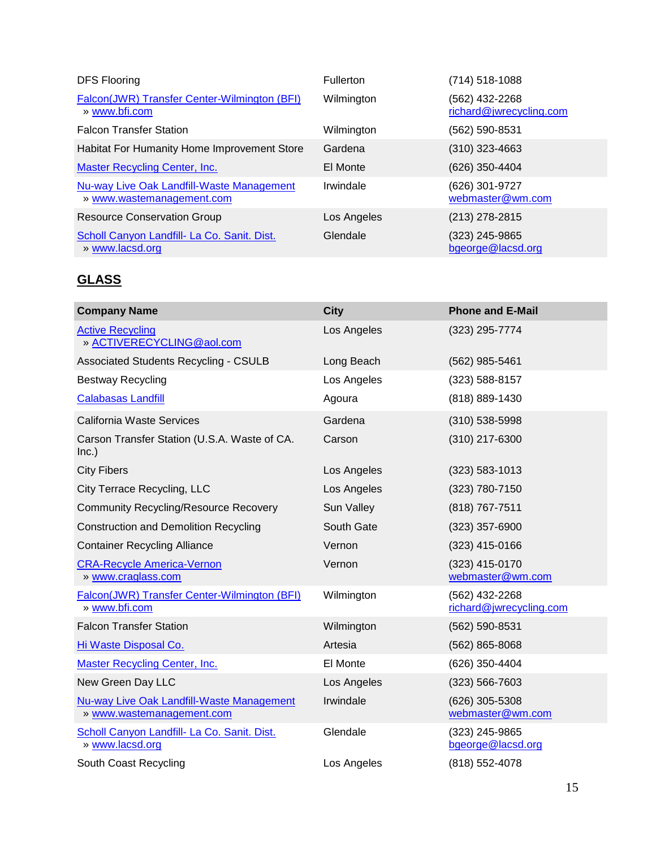| <b>DFS Flooring</b>                                                    | Fullerton   | (714) 518-1088                            |
|------------------------------------------------------------------------|-------------|-------------------------------------------|
| Falcon(JWR) Transfer Center-Wilmington (BFI)<br>» www.bfi.com          | Wilmington  | (562) 432-2268<br>richard@jwrecycling.com |
| <b>Falcon Transfer Station</b>                                         | Wilmington  | (562) 590-8531                            |
| Habitat For Humanity Home Improvement Store                            | Gardena     | $(310)$ 323-4663                          |
| <b>Master Recycling Center, Inc.</b>                                   | El Monte    | (626) 350-4404                            |
| Nu-way Live Oak Landfill-Waste Management<br>» www.wastemanagement.com | Irwindale   | (626) 301-9727<br>webmaster@wm.com        |
| <b>Resource Conservation Group</b>                                     | Los Angeles | (213) 278-2815                            |
| Scholl Canyon Landfill- La Co. Sanit. Dist.<br>» www.lacsd.org         | Glendale    | (323) 245-9865<br>bgeorge@lacsd.org       |

# **GLASS**

| <b>Company Name</b>                                                    | <b>City</b>       | <b>Phone and E-Mail</b>                   |
|------------------------------------------------------------------------|-------------------|-------------------------------------------|
| <b>Active Recycling</b><br>» ACTIVERECYCLING@aol.com                   | Los Angeles       | (323) 295-7774                            |
| <b>Associated Students Recycling - CSULB</b>                           | Long Beach        | (562) 985-5461                            |
| <b>Bestway Recycling</b>                                               | Los Angeles       | (323) 588-8157                            |
| <b>Calabasas Landfill</b>                                              | Agoura            | (818) 889-1430                            |
| <b>California Waste Services</b>                                       | Gardena           | $(310)$ 538-5998                          |
| Carson Transfer Station (U.S.A. Waste of CA.<br>Inc.)                  | Carson            | (310) 217-6300                            |
| <b>City Fibers</b>                                                     | Los Angeles       | $(323) 583 - 1013$                        |
| City Terrace Recycling, LLC                                            | Los Angeles       | (323) 780-7150                            |
| <b>Community Recycling/Resource Recovery</b>                           | <b>Sun Valley</b> | (818) 767-7511                            |
| <b>Construction and Demolition Recycling</b>                           | South Gate        | $(323)$ 357-6900                          |
| <b>Container Recycling Alliance</b>                                    | Vernon            | $(323)$ 415-0166                          |
| <b>CRA-Recycle America-Vernon</b><br>» www.craglass.com                | Vernon            | (323) 415-0170<br>webmaster@wm.com        |
| Falcon(JWR) Transfer Center-Wilmington (BFI)<br>» www.bfi.com          | Wilmington        | (562) 432-2268<br>richard@jwrecycling.com |
| <b>Falcon Transfer Station</b>                                         | Wilmington        | (562) 590-8531                            |
| Hi Waste Disposal Co.                                                  | Artesia           | (562) 865-8068                            |
| <b>Master Recycling Center, Inc.</b>                                   | El Monte          | (626) 350-4404                            |
| New Green Day LLC                                                      | Los Angeles       | $(323) 566 - 7603$                        |
| Nu-way Live Oak Landfill-Waste Management<br>» www.wastemanagement.com | Irwindale         | (626) 305-5308<br>webmaster@wm.com        |
| Scholl Canyon Landfill- La Co. Sanit. Dist.<br>» www.lacsd.org         | Glendale          | (323) 245-9865<br>bgeorge@lacsd.org       |
| South Coast Recycling                                                  | Los Angeles       | (818) 552-4078                            |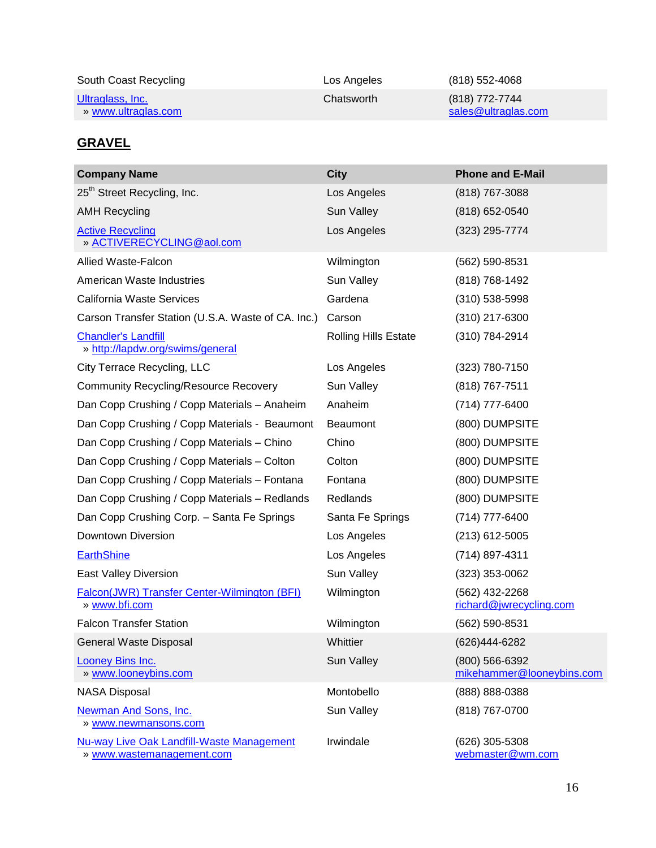| South Coast Recycling | Los Angeles | (818) 552-4068      |
|-----------------------|-------------|---------------------|
| Ultraglass, Inc.      | Chatsworth  | (818) 772-7744      |
| » www.ultraglas.com   |             | sales@ultraglas.com |

## **GRAVEL**

| <b>Company Name</b>                                                           | <b>City</b>                 | <b>Phone and E-Mail</b>                     |
|-------------------------------------------------------------------------------|-----------------------------|---------------------------------------------|
| 25 <sup>th</sup> Street Recycling, Inc.                                       | Los Angeles                 | (818) 767-3088                              |
| <b>AMH Recycling</b>                                                          | Sun Valley                  | (818) 652-0540                              |
| <b>Active Recycling</b><br>» ACTIVERECYCLING@aol.com                          | Los Angeles                 | (323) 295-7774                              |
| Allied Waste-Falcon                                                           | Wilmington                  | (562) 590-8531                              |
| American Waste Industries                                                     | Sun Valley                  | (818) 768-1492                              |
| <b>California Waste Services</b>                                              | Gardena                     | $(310)$ 538-5998                            |
| Carson Transfer Station (U.S.A. Waste of CA. Inc.)                            | Carson                      | $(310)$ 217-6300                            |
| <b>Chandler's Landfill</b><br>» http://lapdw.org/swims/general                | <b>Rolling Hills Estate</b> | (310) 784-2914                              |
| City Terrace Recycling, LLC                                                   | Los Angeles                 | $(323)$ 780-7150                            |
| <b>Community Recycling/Resource Recovery</b>                                  | Sun Valley                  | (818) 767-7511                              |
| Dan Copp Crushing / Copp Materials - Anaheim                                  | Anaheim                     | (714) 777-6400                              |
| Dan Copp Crushing / Copp Materials - Beaumont                                 | <b>Beaumont</b>             | (800) DUMPSITE                              |
| Dan Copp Crushing / Copp Materials - Chino                                    | Chino                       | (800) DUMPSITE                              |
| Dan Copp Crushing / Copp Materials - Colton                                   | Colton                      | (800) DUMPSITE                              |
| Dan Copp Crushing / Copp Materials - Fontana                                  | Fontana                     | (800) DUMPSITE                              |
| Dan Copp Crushing / Copp Materials - Redlands                                 | Redlands                    | (800) DUMPSITE                              |
| Dan Copp Crushing Corp. - Santa Fe Springs                                    | Santa Fe Springs            | (714) 777-6400                              |
| Downtown Diversion                                                            | Los Angeles                 | $(213)$ 612-5005                            |
| <b>EarthShine</b>                                                             | Los Angeles                 | (714) 897-4311                              |
| East Valley Diversion                                                         | Sun Valley                  | $(323)$ 353-0062                            |
| Falcon(JWR) Transfer Center-Wilmington (BFI)<br>» www.bfi.com                 | Wilmington                  | (562) 432-2268<br>richard@jwrecycling.com   |
| <b>Falcon Transfer Station</b>                                                | Wilmington                  | (562) 590-8531                              |
| General Waste Disposal                                                        | Whittier                    | (626)444-6282                               |
| Looney Bins Inc.<br>» www.looneybins.com                                      | Sun Valley                  | (800) 566-6392<br>mikehammer@looneybins.com |
| <b>NASA Disposal</b>                                                          | Montobello                  | (888) 888-0388                              |
| <b>Newman And Sons, Inc.</b><br>» www.newmansons.com                          | Sun Valley                  | (818) 767-0700                              |
| <b>Nu-way Live Oak Landfill-Waste Management</b><br>» www.wastemanagement.com | Irwindale                   | (626) 305-5308<br>webmaster@wm.com          |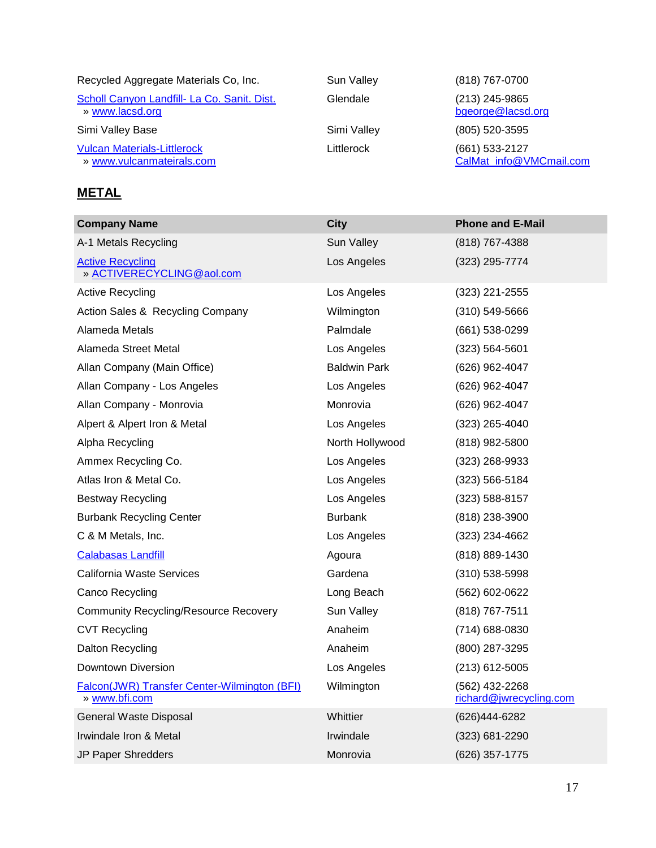| Recycled Aggregate Materials Co, Inc.                           |  |  |
|-----------------------------------------------------------------|--|--|
| Scholl Canyon Landfill- La Co. Sanit. Dist.<br>» www.lacsd.org  |  |  |
| Simi Valley Base                                                |  |  |
| <b>Vulcan Materials-Littlerock</b><br>» www.vulcanmateirals.com |  |  |

### **METAL**

Sun Valley (818) 767-0700 Glendale (213) 245-9865 [bgeorge@lacsd.org](mailto:bgeorge@lacsd.org) Simi Valley (805) 520-3595 Littlerock (661) 533-2127 [CalMat\\_info@VMCmail.com](mailto:CalMat_info@VMCmail.com)

| <b>Company Name</b>                                           | <b>City</b>         | <b>Phone and E-Mail</b>                   |
|---------------------------------------------------------------|---------------------|-------------------------------------------|
| A-1 Metals Recycling                                          | Sun Valley          | (818) 767-4388                            |
| <b>Active Recycling</b><br>» ACTIVERECYCLING@aol.com          | Los Angeles         | (323) 295-7774                            |
| <b>Active Recycling</b>                                       | Los Angeles         | $(323)$ 221-2555                          |
| Action Sales & Recycling Company                              | Wilmington          | $(310) 549 - 5666$                        |
| Alameda Metals                                                | Palmdale            | $(661)$ 538-0299                          |
| Alameda Street Metal                                          | Los Angeles         | $(323) 564 - 5601$                        |
| Allan Company (Main Office)                                   | <b>Baldwin Park</b> | (626) 962-4047                            |
| Allan Company - Los Angeles                                   | Los Angeles         | (626) 962-4047                            |
| Allan Company - Monrovia                                      | Monrovia            | (626) 962-4047                            |
| Alpert & Alpert Iron & Metal                                  | Los Angeles         | $(323)$ 265-4040                          |
| Alpha Recycling                                               | North Hollywood     | (818) 982-5800                            |
| Ammex Recycling Co.                                           | Los Angeles         | (323) 268-9933                            |
| Atlas Iron & Metal Co.                                        | Los Angeles         | $(323) 566 - 5184$                        |
| <b>Bestway Recycling</b>                                      | Los Angeles         | $(323) 588 - 8157$                        |
| <b>Burbank Recycling Center</b>                               | <b>Burbank</b>      | $(818)$ 238-3900                          |
| C & M Metals, Inc.                                            | Los Angeles         | (323) 234-4662                            |
| Calabasas Landfill                                            | Agoura              | (818) 889-1430                            |
| California Waste Services                                     | Gardena             | $(310)$ 538-5998                          |
| <b>Canco Recycling</b>                                        | Long Beach          | (562) 602-0622                            |
| <b>Community Recycling/Resource Recovery</b>                  | Sun Valley          | (818) 767-7511                            |
| <b>CVT Recycling</b>                                          | Anaheim             | (714) 688-0830                            |
| Dalton Recycling                                              | Anaheim             | (800) 287-3295                            |
| Downtown Diversion                                            | Los Angeles         | $(213)$ 612-5005                          |
| Falcon(JWR) Transfer Center-Wilmington (BFI)<br>» www.bfi.com | Wilmington          | (562) 432-2268<br>richard@jwrecycling.com |
| <b>General Waste Disposal</b>                                 | Whittier            | (626)444-6282                             |
| Irwindale Iron & Metal                                        | Irwindale           | (323) 681-2290                            |
| JP Paper Shredders                                            | Monrovia            | (626) 357-1775                            |
|                                                               |                     |                                           |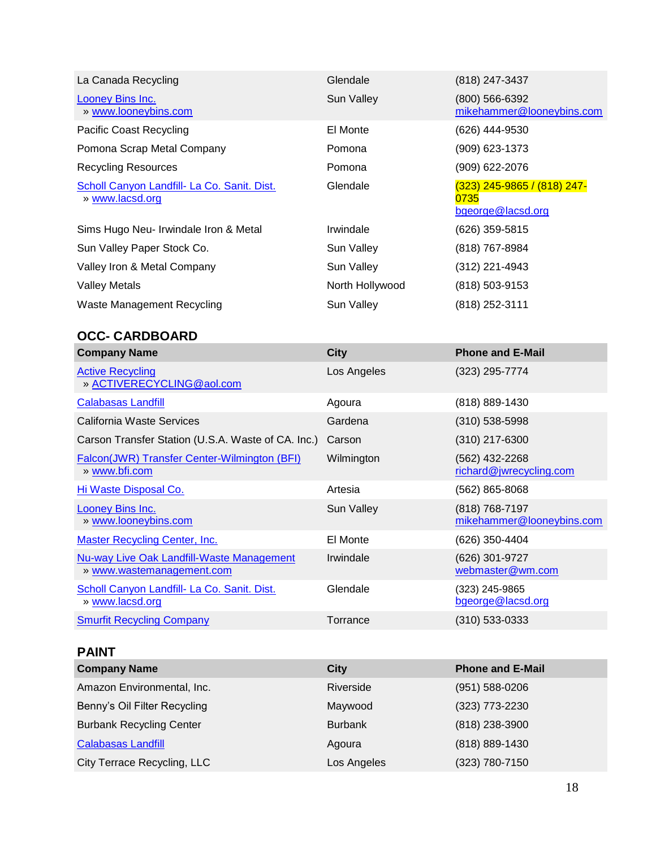| La Canada Recycling                                                           | Glendale        | (818) 247-3437                                           |
|-------------------------------------------------------------------------------|-----------------|----------------------------------------------------------|
| <b>Looney Bins Inc.</b><br>» www.looneybins.com                               | Sun Valley      | (800) 566-6392<br>mikehammer@looneybins.com              |
| <b>Pacific Coast Recycling</b>                                                | El Monte        | (626) 444-9530                                           |
| Pomona Scrap Metal Company                                                    | Pomona          | (909) 623-1373                                           |
| <b>Recycling Resources</b>                                                    | Pomona          | (909) 622-2076                                           |
| Scholl Canyon Landfill- La Co. Sanit. Dist.<br>» www.lacsd.org                | Glendale        | (323) 245-9865 / (818) 247-<br>0735<br>bgeorge@lacsd.org |
| Sims Hugo Neu- Irwindale Iron & Metal                                         | Irwindale       | (626) 359-5815                                           |
| Sun Valley Paper Stock Co.                                                    | Sun Valley      | (818) 767-8984                                           |
| Valley Iron & Metal Company                                                   | Sun Valley      | (312) 221-4943                                           |
| <b>Valley Metals</b>                                                          | North Hollywood | (818) 503-9153                                           |
| Waste Management Recycling                                                    | Sun Valley      | (818) 252-3111                                           |
| <b>OCC- CARDBOARD</b>                                                         |                 |                                                          |
| <b>Company Name</b>                                                           | <b>City</b>     | <b>Phone and E-Mail</b>                                  |
| <b>Active Recycling</b><br>» ACTIVERECYCLING@aol.com                          | Los Angeles     | (323) 295-7774                                           |
| <b>Calabasas Landfill</b>                                                     | Agoura          | (818) 889-1430                                           |
| California Waste Services                                                     | Gardena         | $(310) 538 - 5998$                                       |
| Carson Transfer Station (U.S.A. Waste of CA. Inc.)                            | Carson          | (310) 217-6300                                           |
| Falcon(JWR) Transfer Center-Wilmington (BFI)<br>» www.bfi.com                 | Wilmington      | (562) 432-2268<br>richard@jwrecycling.com                |
| Hi Waste Disposal Co.                                                         | Artesia         | (562) 865-8068                                           |
| <b>Looney Bins Inc.</b><br>» www.looneybins.com                               | Sun Valley      | (818) 768-7197<br>mikehammer@looneybins.com              |
| <b>Master Recycling Center, Inc.</b>                                          | El Monte        | (626) 350-4404                                           |
| <b>Nu-way Live Oak Landfill-Waste Management</b><br>» www.wastemanagement.com | Irwindale       | (626) 301-9727<br>webmaster@wm.com                       |
| Scholl Canyon Landfill- La Co. Sanit. Dist.<br>» www.lacsd.org                | Glendale        | (323) 245-9865<br>bgeorge@lacsd.org                      |
| <b>Smurfit Recycling Company</b>                                              | Torrance        | (310) 533-0333                                           |
|                                                                               |                 |                                                          |
| <b>PAINT</b>                                                                  |                 |                                                          |

| <b>Company Name</b>             | <b>City</b>    | <b>Phone and E-Mail</b> |
|---------------------------------|----------------|-------------------------|
| Amazon Environmental, Inc.      | Riverside      | $(951) 588 - 0206$      |
| Benny's Oil Filter Recycling    | Maywood        | (323) 773-2230          |
| <b>Burbank Recycling Center</b> | <b>Burbank</b> | (818) 238-3900          |
| <b>Calabasas Landfill</b>       | Agoura         | (818) 889-1430          |
| City Terrace Recycling, LLC     | Los Angeles    | (323) 780-7150          |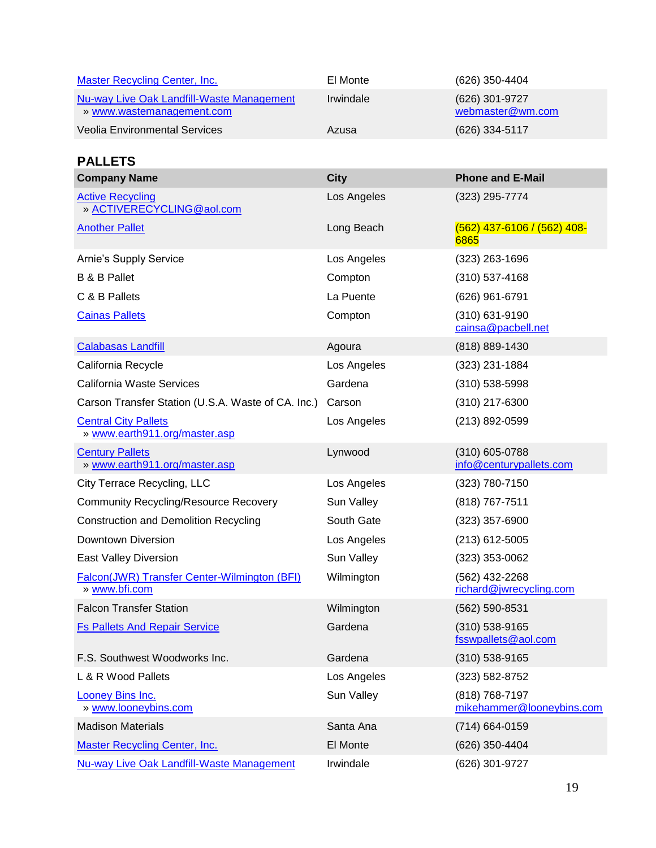| Master Recycling Center, Inc.                                          | El Monte  | (626) 350-4404                     |
|------------------------------------------------------------------------|-----------|------------------------------------|
| Nu-way Live Oak Landfill-Waste Management<br>» www.wastemanagement.com | Irwindale | (626) 301-9727<br>webmaster@wm.com |
| Veolia Environmental Services                                          | Azusa     | (626) 334-5117                     |

#### **PALLETS**

| <b>Company Name</b>                                           | <b>City</b> | <b>Phone and E-Mail</b>                     |
|---------------------------------------------------------------|-------------|---------------------------------------------|
| <b>Active Recycling</b><br>» ACTIVERECYCLING@aol.com          | Los Angeles | (323) 295-7774                              |
| <b>Another Pallet</b>                                         | Long Beach  | (562) 437-6106 / (562) 408-<br>6865         |
| Arnie's Supply Service                                        | Los Angeles | (323) 263-1696                              |
| <b>B &amp; B Pallet</b>                                       | Compton     | $(310)$ 537-4168                            |
| C & B Pallets                                                 | La Puente   | (626) 961-6791                              |
| <b>Cainas Pallets</b>                                         | Compton     | (310) 631-9190<br>cainsa@pacbell.net        |
| <b>Calabasas Landfill</b>                                     | Agoura      | (818) 889-1430                              |
| California Recycle                                            | Los Angeles | (323) 231-1884                              |
| California Waste Services                                     | Gardena     | $(310) 538 - 5998$                          |
| Carson Transfer Station (U.S.A. Waste of CA. Inc.)            | Carson      | (310) 217-6300                              |
| <b>Central City Pallets</b><br>» www.earth911.org/master.asp  | Los Angeles | (213) 892-0599                              |
| <b>Century Pallets</b><br>» www.earth911.org/master.asp       | Lynwood     | (310) 605-0788<br>info@centurypallets.com   |
| City Terrace Recycling, LLC                                   | Los Angeles | (323) 780-7150                              |
| <b>Community Recycling/Resource Recovery</b>                  | Sun Valley  | (818) 767-7511                              |
| <b>Construction and Demolition Recycling</b>                  | South Gate  | $(323)$ 357-6900                            |
| Downtown Diversion                                            | Los Angeles | $(213)$ 612-5005                            |
| East Valley Diversion                                         | Sun Valley  | (323) 353-0062                              |
| Falcon(JWR) Transfer Center-Wilmington (BFI)<br>» www.bfi.com | Wilmington  | (562) 432-2268<br>richard@jwrecycling.com   |
| <b>Falcon Transfer Station</b>                                | Wilmington  | (562) 590-8531                              |
| <b>Fs Pallets And Repair Service</b>                          | Gardena     | (310) 538-9165<br>fsswpallets@aol.com       |
| F.S. Southwest Woodworks Inc.                                 | Gardena     | $(310)$ 538-9165                            |
| L & R Wood Pallets                                            | Los Angeles | (323) 582-8752                              |
| <b>Looney Bins Inc.</b><br>» www.looneybins.com               | Sun Valley  | (818) 768-7197<br>mikehammer@looneybins.com |
| <b>Madison Materials</b>                                      | Santa Ana   | (714) 664-0159                              |
| <b>Master Recycling Center, Inc.</b>                          | El Monte    | (626) 350-4404                              |
| Nu-way Live Oak Landfill-Waste Management                     | Irwindale   | (626) 301-9727                              |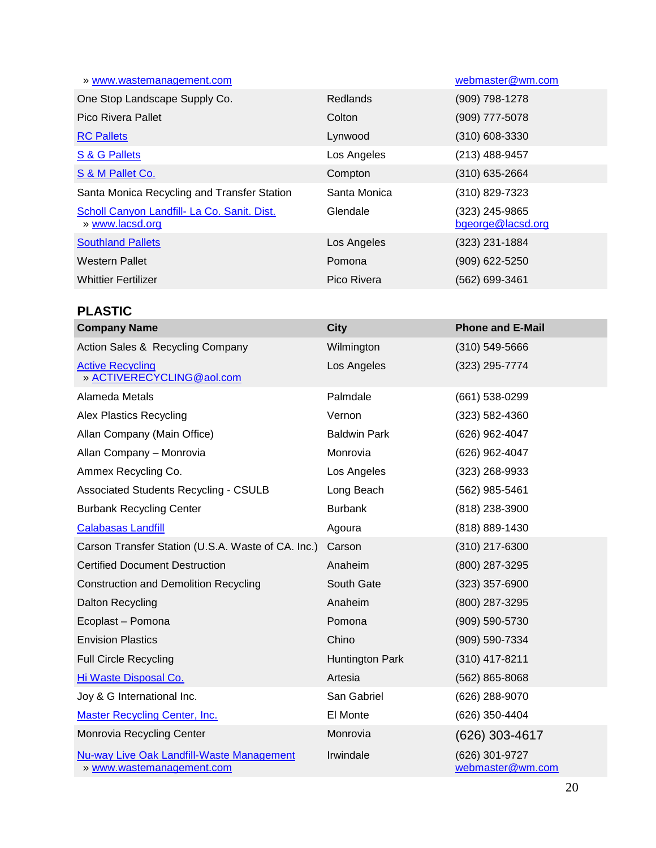| » www.wastemanagement.com                                      |                 | webmaster@wm.com                    |
|----------------------------------------------------------------|-----------------|-------------------------------------|
| One Stop Landscape Supply Co.                                  | <b>Redlands</b> | (909) 798-1278                      |
| Pico Rivera Pallet                                             | Colton          | (909) 777-5078                      |
| <b>RC Pallets</b>                                              | Lynwood         | (310) 608-3330                      |
| S & G Pallets                                                  | Los Angeles     | (213) 488-9457                      |
| S & M Pallet Co.                                               | Compton         | (310) 635-2664                      |
| Santa Monica Recycling and Transfer Station                    | Santa Monica    | (310) 829-7323                      |
| Scholl Canyon Landfill- La Co. Sanit. Dist.<br>» www.lacsd.org | Glendale        | (323) 245-9865<br>bgeorge@lacsd.org |
| <b>Southland Pallets</b>                                       | Los Angeles     | (323) 231-1884                      |
| <b>Western Pallet</b>                                          | Pomona          | (909) 622-5250                      |
| <b>Whittier Fertilizer</b>                                     | Pico Rivera     | (562) 699-3461                      |

### **PLASTIC**

| <b>Company Name</b>                                                    | <b>City</b>         | <b>Phone and E-Mail</b>            |
|------------------------------------------------------------------------|---------------------|------------------------------------|
| Action Sales & Recycling Company                                       | Wilmington          | $(310) 549 - 5666$                 |
| <b>Active Recycling</b><br>» ACTIVERECYCLING@aol.com                   | Los Angeles         | (323) 295-7774                     |
| Alameda Metals                                                         | Palmdale            | (661) 538-0299                     |
| <b>Alex Plastics Recycling</b>                                         | Vernon              | (323) 582-4360                     |
| Allan Company (Main Office)                                            | <b>Baldwin Park</b> | (626) 962-4047                     |
| Allan Company - Monrovia                                               | Monrovia            | (626) 962-4047                     |
| Ammex Recycling Co.                                                    | Los Angeles         | (323) 268-9933                     |
| <b>Associated Students Recycling - CSULB</b>                           | Long Beach          | (562) 985-5461                     |
| <b>Burbank Recycling Center</b>                                        | <b>Burbank</b>      | (818) 238-3900                     |
| <b>Calabasas Landfill</b>                                              | Agoura              | (818) 889-1430                     |
| Carson Transfer Station (U.S.A. Waste of CA. Inc.)                     | Carson              | (310) 217-6300                     |
| <b>Certified Document Destruction</b>                                  | Anaheim             | (800) 287-3295                     |
| <b>Construction and Demolition Recycling</b>                           | South Gate          | (323) 357-6900                     |
| <b>Dalton Recycling</b>                                                | Anaheim             | (800) 287-3295                     |
| Ecoplast - Pomona                                                      | Pomona              | (909) 590-5730                     |
| <b>Envision Plastics</b>                                               | Chino               | (909) 590-7334                     |
| <b>Full Circle Recycling</b>                                           | Huntington Park     | (310) 417-8211                     |
| Hi Waste Disposal Co.                                                  | Artesia             | $(562)$ 865-8068                   |
| Joy & G International Inc.                                             | San Gabriel         | (626) 288-9070                     |
| <b>Master Recycling Center, Inc.</b>                                   | El Monte            | (626) 350-4404                     |
| Monrovia Recycling Center                                              | Monrovia            | (626) 303-4617                     |
| Nu-way Live Oak Landfill-Waste Management<br>» www.wastemanagement.com | Irwindale           | (626) 301-9727<br>webmaster@wm.com |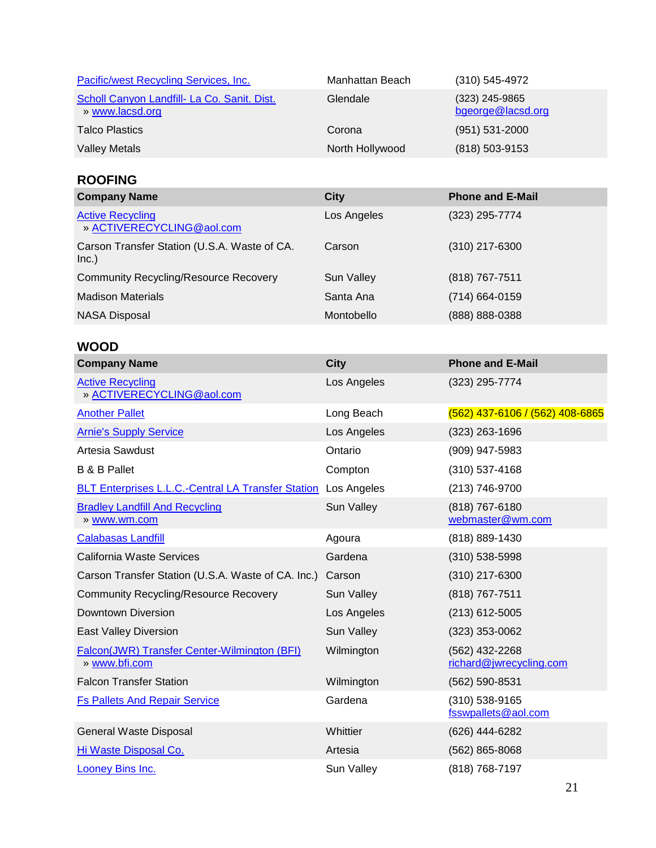| Pacific/west Recycling Services, Inc.                                | Manhattan Beach   | $(310) 545 - 4972$                        |
|----------------------------------------------------------------------|-------------------|-------------------------------------------|
| Scholl Canyon Landfill- La Co. Sanit. Dist.<br>» www.lacsd.org       | Glendale          | (323) 245-9865<br>bgeorge@lacsd.org       |
| <b>Talco Plastics</b>                                                | Corona            | (951) 531-2000                            |
| <b>Valley Metals</b>                                                 | North Hollywood   | (818) 503-9153                            |
| <b>ROOFING</b>                                                       |                   |                                           |
| <b>Company Name</b>                                                  | <b>City</b>       | <b>Phone and E-Mail</b>                   |
| <b>Active Recycling</b><br>» ACTIVERECYCLING@aol.com                 | Los Angeles       | (323) 295-7774                            |
| Carson Transfer Station (U.S.A. Waste of CA.<br>Inc.)                | Carson            | (310) 217-6300                            |
| <b>Community Recycling/Resource Recovery</b>                         | <b>Sun Valley</b> | (818) 767-7511                            |
| <b>Madison Materials</b>                                             | Santa Ana         | (714) 664-0159                            |
| <b>NASA Disposal</b>                                                 | Montobello        | (888) 888-0388                            |
| <b>WOOD</b>                                                          |                   |                                           |
| <b>Company Name</b>                                                  | <b>City</b>       | <b>Phone and E-Mail</b>                   |
| <b>Active Recycling</b><br>» ACTIVERECYCLING@aol.com                 | Los Angeles       | (323) 295-7774                            |
| <b>Another Pallet</b>                                                | Long Beach        | (562) 437-6106 / (562) 408-6865           |
| <b>Arnie's Supply Service</b>                                        | Los Angeles       | $(323)$ 263-1696                          |
| Artesia Sawdust                                                      | Ontario           | (909) 947-5983                            |
| <b>B &amp; B Pallet</b>                                              | Compton           | $(310)$ 537-4168                          |
| <b>BLT Enterprises L.L.C.-Central LA Transfer Station</b>            | Los Angeles       | (213) 746-9700                            |
| <b>Bradley Landfill And Recycling</b><br>» www.wm.com                | Sun Valley        | (818) 767-6180<br>webmaster@wm.com        |
| <b>Calabasas Landfill</b>                                            | Agoura            | (818) 889-1430                            |
| California Waste Services                                            | Gardena           | (310) 538-5998                            |
| Carson Transfer Station (U.S.A. Waste of CA. Inc.)                   | Carson            | (310) 217-6300                            |
| <b>Community Recycling/Resource Recovery</b>                         | Sun Valley        | (818) 767-7511                            |
| Downtown Diversion                                                   | Los Angeles       | $(213)$ 612-5005                          |
| <b>East Valley Diversion</b>                                         | Sun Valley        | $(323)$ 353-0062                          |
| <b>Falcon(JWR) Transfer Center-Wilmington (BFI)</b><br>» www.bfi.com | Wilmington        | (562) 432-2268<br>richard@jwrecycling.com |
| <b>Falcon Transfer Station</b>                                       | Wilmington        | (562) 590-8531                            |
| <b>Fs Pallets And Repair Service</b>                                 | Gardena           | (310) 538-9165<br>fsswpallets@aol.com     |
| General Waste Disposal                                               | Whittier          | (626) 444-6282                            |
| Hi Waste Disposal Co.                                                | Artesia           | $(562)$ 865-8068                          |
| <b>Looney Bins Inc.</b>                                              | Sun Valley        | (818) 768-7197                            |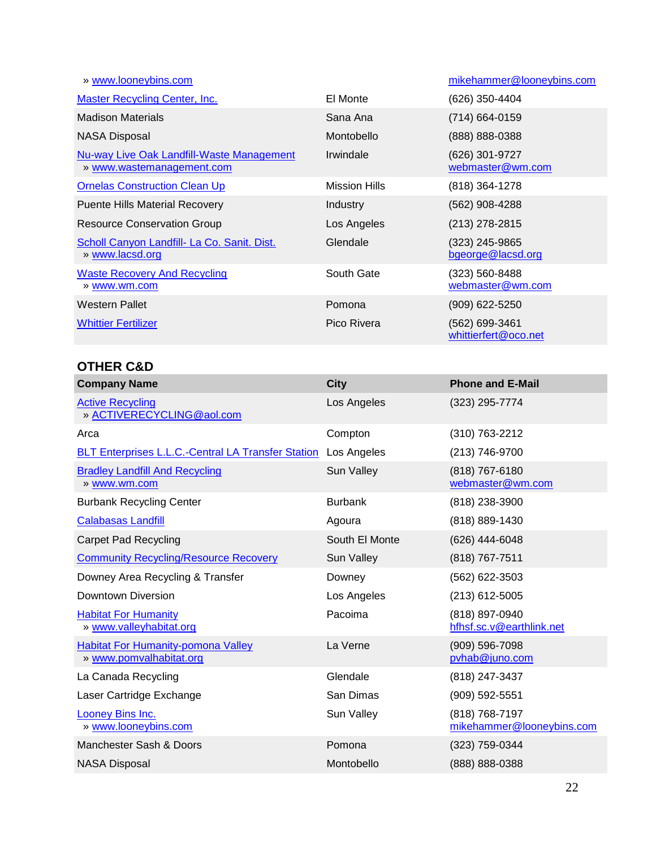| » www.looneybins.com                                                   |                      | mikehammer@looneybins.com              |
|------------------------------------------------------------------------|----------------------|----------------------------------------|
| <b>Master Recycling Center, Inc.</b>                                   | El Monte             | (626) 350-4404                         |
| <b>Madison Materials</b>                                               | Sana Ana             | (714) 664-0159                         |
| <b>NASA Disposal</b>                                                   | Montobello           | (888) 888-0388                         |
| Nu-way Live Oak Landfill-Waste Management<br>» www.wastemanagement.com | Irwindale            | (626) 301-9727<br>webmaster@wm.com     |
| <b>Ornelas Construction Clean Up</b>                                   | <b>Mission Hills</b> | (818) 364-1278                         |
| <b>Puente Hills Material Recovery</b>                                  | Industry             | (562) 908-4288                         |
| <b>Resource Conservation Group</b>                                     | Los Angeles          | (213) 278-2815                         |
| Scholl Canyon Landfill- La Co. Sanit. Dist.<br>» www.lacsd.org         | Glendale             | (323) 245-9865<br>bgeorge@lacsd.org    |
| <b>Waste Recovery And Recycling</b><br>» www.wm.com                    | South Gate           | (323) 560-8488<br>webmaster@wm.com     |
| Western Pallet                                                         | Pomona               | (909) 622-5250                         |
| <b>Whittier Fertilizer</b>                                             | Pico Rivera          | (562) 699-3461<br>whittierfert@oco.net |

#### **OTHER C&D**

| <b>Company Name</b>                                                  | <b>City</b>    | <b>Phone and E-Mail</b>                     |
|----------------------------------------------------------------------|----------------|---------------------------------------------|
| <b>Active Recycling</b><br>» ACTIVERECYCLING@aol.com                 | Los Angeles    | (323) 295-7774                              |
| Arca                                                                 | Compton        | (310) 763-2212                              |
| <b>BLT Enterprises L.L.C.-Central LA Transfer Station</b>            | Los Angeles    | (213) 746-9700                              |
| <b>Bradley Landfill And Recycling</b><br>» www.wm.com                | Sun Valley     | (818) 767-6180<br>webmaster@wm.com          |
| <b>Burbank Recycling Center</b>                                      | <b>Burbank</b> | (818) 238-3900                              |
| <b>Calabasas Landfill</b>                                            | Agoura         | (818) 889-1430                              |
| <b>Carpet Pad Recycling</b>                                          | South El Monte | (626) 444-6048                              |
| <b>Community Recycling/Resource Recovery</b>                         | Sun Valley     | (818) 767-7511                              |
| Downey Area Recycling & Transfer                                     | Downey         | (562) 622-3503                              |
| Downtown Diversion                                                   | Los Angeles    | (213) 612-5005                              |
| <b>Habitat For Humanity</b><br>» www.valleyhabitat.org               | Pacoima        | (818) 897-0940<br>hfhsf.sc.v@earthlink.net  |
| <b>Habitat For Humanity-pomona Valley</b><br>» www.pomvalhabitat.org | La Verne       | (909) 596-7098<br>pvhab@juno.com            |
| La Canada Recycling                                                  | Glendale       | (818) 247-3437                              |
| Laser Cartridge Exchange                                             | San Dimas      | (909) 592-5551                              |
| Looney Bins Inc.<br>» www.looneybins.com                             | Sun Valley     | (818) 768-7197<br>mikehammer@looneybins.com |
| Manchester Sash & Doors                                              | Pomona         | (323) 759-0344                              |
| <b>NASA Disposal</b>                                                 | Montobello     | (888) 888-0388                              |